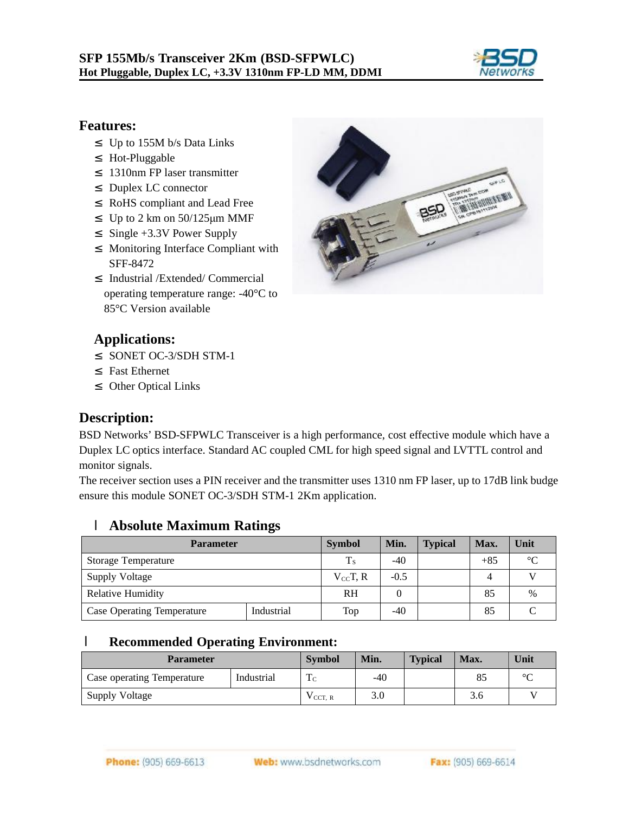

#### **Features:**

- ² Up to 155M b/s Data Links
- ² Hot-Pluggable
- ² 1310nm FP laser transmitter
- ² Duplex LC connector
- ² RoHS compliant and Lead Free
- <sup>2</sup> Up to 2 km on  $50/125 \mu m$  MMF
- ² Single +3.3V Power Supply
- ² Monitoring Interface Compliant with SFF-8472
- ² Industrial /Extended/ Commercial operating temperature range: -40°C to 85°C Version available



#### **Applications:**

- ² SONET OC-3/SDH STM-1
- ² Fast Ethernet
- ² Other Optical Links

#### **Description:**

BSD Networks' BSD-SFPWLC Transceiver is a high performance, cost effective module which have a Duplex LC optics interface. Standard AC coupled CML for high speed signal and LVTTL control and monitor signals.

The receiver section uses a PIN receiver and the transmitter uses 1310 nm FP laser, up to 17dB link budge ensure this module SONET OC-3/SDH STM-1 2Km application.

#### l **Absolute Maximum Ratings**

| <b>Parameter</b>                  | <b>Symbol</b> | Min.              | <b>Typical</b> | Max. | Unit  |                 |
|-----------------------------------|---------------|-------------------|----------------|------|-------|-----------------|
| <b>Storage Temperature</b>        |               | $T_{\rm S}$       | $-40$          |      | $+85$ | $\rm ^{\circ}C$ |
| Supply Voltage                    |               | $V_{\rm cc}$ T, R | $-0.5$         |      | 4     |                 |
| <b>Relative Humidity</b>          |               | <b>RH</b>         |                |      | 85    | $\%$            |
| <b>Case Operating Temperature</b> | Industrial    | Top               | -40            |      | 85    |                 |

#### l **Recommended Operating Environment:**

| <b>Parameter</b>                         |  | <b>Symbol</b>       | Min.  | <b>Typical</b> | Max.               | Unit    |
|------------------------------------------|--|---------------------|-------|----------------|--------------------|---------|
| Industrial<br>Case operating Temperature |  | m.<br>1C            | $-40$ |                | $O\subseteq$<br>റാ | $\circ$ |
| Supply Voltage                           |  | V <sub>CCT, R</sub> | 3.0   |                | 3.0                |         |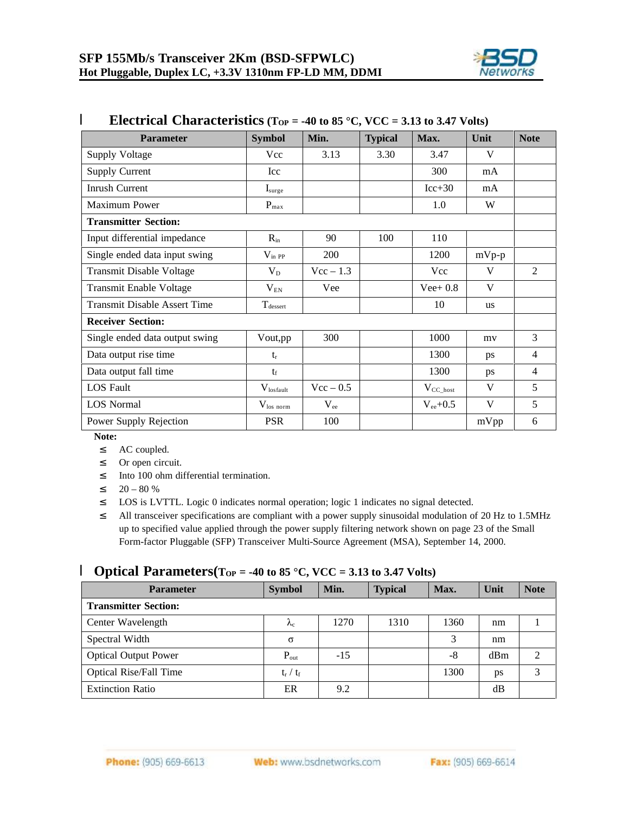

| <b>Parameter</b>                    | <b>Symbol</b>          | Min.         | <b>Typical</b> | Max.           | Unit      | <b>Note</b>    |
|-------------------------------------|------------------------|--------------|----------------|----------------|-----------|----------------|
| <b>Supply Voltage</b>               | Vcc                    | 3.13         | 3.30           | 3.47           | V         |                |
| <b>Supply Current</b>               | Icc                    |              |                | 300            | mA        |                |
| Inrush Current                      | $I_{\text{surge}}$     |              |                | $Icc+30$       | mA        |                |
| <b>Maximum Power</b>                | $P_{max}$              |              |                | 1.0            | W         |                |
| <b>Transmitter Section:</b>         |                        |              |                |                |           |                |
| Input differential impedance        | $R_{in}$               | 90           | 100            | 110            |           |                |
| Single ended data input swing       | $V_{in PP}$            | 200          |                | 1200           | $mVp-p$   |                |
| <b>Transmit Disable Voltage</b>     | $V_D$                  | $Vec-1.3$    |                | Vcc            | V         | $\overline{2}$ |
| Transmit Enable Voltage             | $V_{EN}$               | Vee          |                | Vee + $0.8$    | V         |                |
| <b>Transmit Disable Assert Time</b> | $T_{\text{desset}}$    |              |                | 10             | <b>us</b> |                |
| <b>Receiver Section:</b>            |                        |              |                |                |           |                |
| Single ended data output swing      | Vout,pp                | 300          |                | 1000           | my        | 3              |
| Data output rise time               | $t_{r}$                |              |                | 1300           | ps        | 4              |
| Data output fall time               | $t_{\rm f}$            |              |                | 1300           | ps        | $\overline{4}$ |
| <b>LOS</b> Fault                    | $V_{\text{los fault}}$ | $Vec - 0.5$  |                | $V_{CC\_host}$ | V         | 5              |
| <b>LOS Normal</b>                   | $V_{\rm los\ norm}$    | $\rm V_{ee}$ |                | $V_{ee}+0.5$   | V         | 5              |
| Power Supply Rejection              | <b>PSR</b>             | 100          |                |                | mVpp      | 6              |

### **l Electrical Characteristics**  $(T_{OP} = -40 \text{ to } 85 \text{ °C}, \text{VCC} = 3.13 \text{ to } 3.47 \text{ Volts})$

**Note:** 

<sup>2</sup> AC coupled.

<sup>2</sup> Or open circuit.

<sup>2</sup> Into 100 ohm differential termination.

 $20 - 80 \%$ 

² LOS is LVTTL. Logic 0 indicates normal operation; logic 1 indicates no signal detected.

<sup>2</sup> All transceiver specifications are compliant with a power supply sinusoidal modulation of 20 Hz to 1.5MHz up to specified value applied through the power supply filtering network shown on page 23 of the Small Form-factor Pluggable (SFP) Transceiver Multi-Source Agreement (MSA), September 14, 2000.

#### **l Optical Parameters**( $T_{OP} = -40$  to 85 °C,  $VCC = 3.13$  to 3.47 Volts)

| <b>Parameter</b>              | <b>Symbol</b>     | Min.  | <b>Typical</b> | Max. | Unit | <b>Note</b> |
|-------------------------------|-------------------|-------|----------------|------|------|-------------|
| <b>Transmitter Section:</b>   |                   |       |                |      |      |             |
| Center Wavelength             | $\Lambda_{\rm C}$ | 1270  | 1310           | 1360 | nm   |             |
| Spectral Width                | $\sigma$          |       |                | 3    | nm   |             |
| <b>Optical Output Power</b>   | $P_{out}$         | $-15$ |                | -8   | dBm  |             |
| <b>Optical Rise/Fall Time</b> | $t_r / t_f$       |       |                | 1300 | ps   | 3           |
| <b>Extinction Ratio</b>       | ER                | 9.2   |                |      | dВ   |             |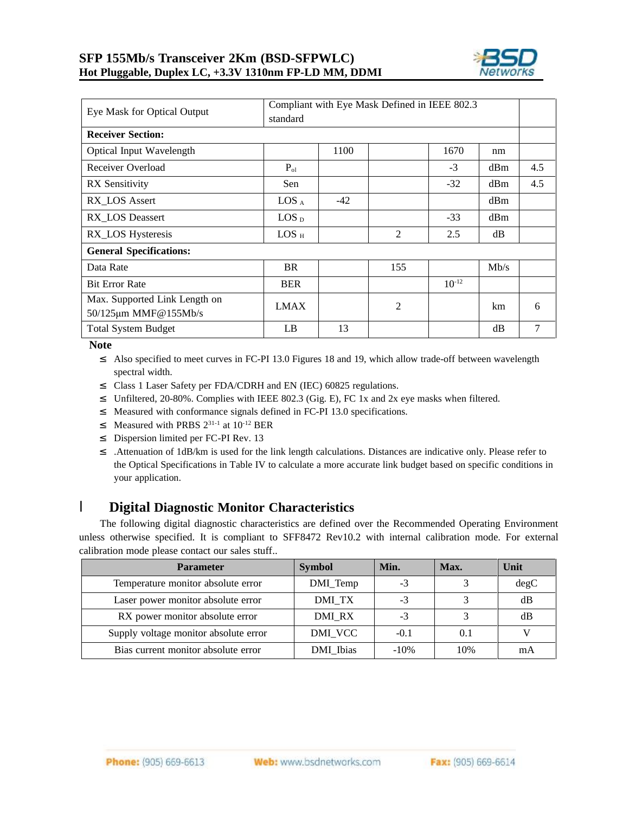

| Compliant with Eye Mask Defined in IEEE 802.3<br>Eye Mask for Optical Output<br>standard |                  |       |                |            |      |     |
|------------------------------------------------------------------------------------------|------------------|-------|----------------|------------|------|-----|
| <b>Receiver Section:</b>                                                                 |                  |       |                |            |      |     |
| <b>Optical Input Wavelength</b>                                                          |                  | 1100  |                | 1670       | nm   |     |
| Receiver Overload                                                                        | $P_{ol}$         |       |                | $-3$       | dBm  | 4.5 |
| <b>RX</b> Sensitivity                                                                    | Sen              |       |                | $-32$      | dBm  | 4.5 |
| RX LOS Assert                                                                            | $LOS_A$          | $-42$ |                |            | dBm  |     |
| RX_LOS Deassert                                                                          | LOS <sub>D</sub> |       |                | $-33$      | dBm  |     |
| RX_LOS Hysteresis                                                                        | $LOS_H$          |       | 2              | 2.5        | dB   |     |
| <b>General Specifications:</b>                                                           |                  |       |                |            |      |     |
| Data Rate                                                                                | <b>BR</b>        |       | 155            |            | Mb/s |     |
| <b>Bit Error Rate</b>                                                                    | <b>BER</b>       |       |                | $10^{-12}$ |      |     |
| Max. Supported Link Length on<br>50/125μm MMF@155Mb/s                                    | <b>LMAX</b>      |       | $\overline{2}$ |            | km   | 6   |
| <b>Total System Budget</b>                                                               | LB               | 13    |                |            | dB   | 7   |

**Note** 

- <sup>2</sup> Also specified to meet curves in FC-PI 13.0 Figures 18 and 19, which allow trade-off between wavelength spectral width.
- ² Class 1 Laser Safety per FDA/CDRH and EN (IEC) 60825 regulations.
- <sup>2</sup> Unfiltered, 20-80%. Complies with IEEE 802.3 (Gig. E), FC 1x and 2x eye masks when filtered.
- <sup>2</sup> Measured with conformance signals defined in FC-PI 13.0 specifications.
- **2** Measured with PRBS  $2^{31-1}$  at  $10^{-12}$  BER
- <sup>2</sup> Dispersion limited per FC-PI Rev. 13
- <sup>2</sup> .Attenuation of 1dB/km is used for the link length calculations. Distances are indicative only. Please refer to the Optical Specifications in Table IV to calculate a more accurate link budget based on specific conditions in your application.

#### l **Digital Diagnostic Monitor Characteristics**

The following digital diagnostic characteristics are defined over the Recommended Operating Environment unless otherwise specified. It is compliant to SFF8472 Rev10.2 with internal calibration mode. For external calibration mode please contact our sales stuff..

| <b>Parameter</b>                      | <b>Symbol</b> | Min.    | Max. | Unit |
|---------------------------------------|---------------|---------|------|------|
| Temperature monitor absolute error    | DMI_Temp      | $-3$    |      | degC |
| Laser power monitor absolute error    | DMI TX        | $-3$    |      | dB   |
| RX power monitor absolute error       | DMI_RX        | $-3$    |      | dB   |
| Supply voltage monitor absolute error | DMI VCC       | $-0.1$  | 0.1  |      |
| Bias current monitor absolute error   | DMI_Ibias     | $-10\%$ | 10%  | mA   |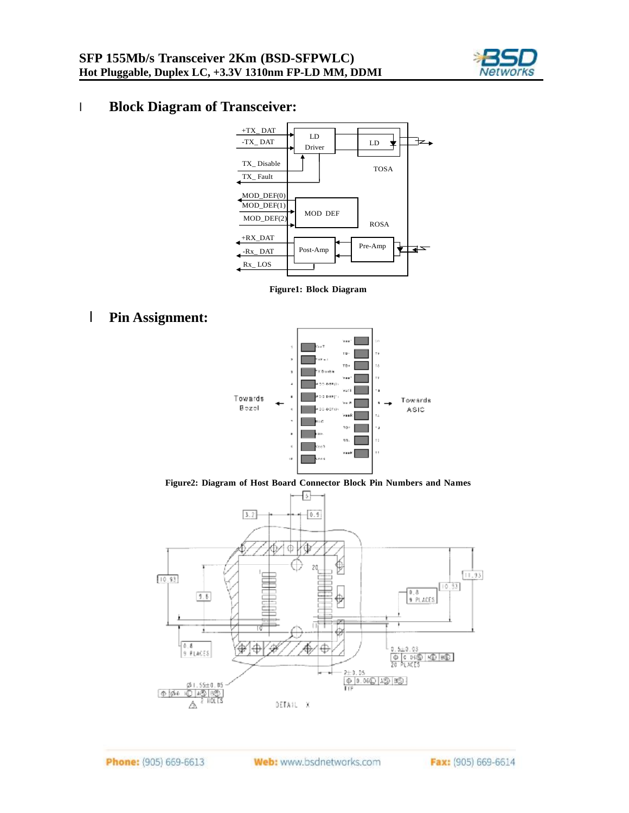

## l **Block Diagram of Transceiver:**



**Figure1: Block Diagram** 

#### l **Pin Assignment:**



**Figure2: Diagram of Host Board Connector Block Pin Numbers and Names** 

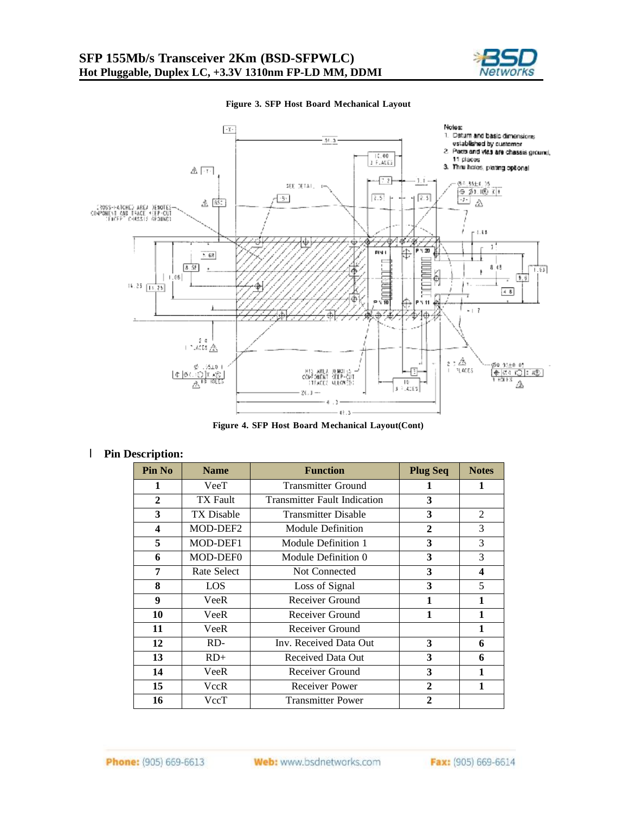



#### **Figure 3. SFP Host Board Mechanical Layout**

**Figure 4. SFP Host Board Mechanical Layout(Cont)** 

#### l **Pin Description:**

| Pin No                  | <b>Name</b>        | <b>Function</b>                     | <b>Plug Seq</b> | <b>Notes</b> |
|-------------------------|--------------------|-------------------------------------|-----------------|--------------|
| 1                       | VeeT               | <b>Transmitter Ground</b>           | 1               | 1            |
| 2                       | <b>TX</b> Fault    | <b>Transmitter Fault Indication</b> | 3               |              |
| 3                       | <b>TX Disable</b>  | <b>Transmitter Disable</b>          | 3               | 2            |
| $\overline{\mathbf{4}}$ | MOD-DEF2           | Module Definition                   | $\mathbf{2}$    | 3            |
| 5                       | MOD-DEF1           | Module Definition 1                 | 3               | 3            |
| 6                       | MOD-DEF0           | Module Definition 0                 | 3               | 3            |
| 7                       | <b>Rate Select</b> | Not Connected                       | 3               | 4            |
| 8                       | LOS                | Loss of Signal                      | 3               | 5            |
| $\boldsymbol{9}$        | VeeR               | Receiver Ground                     | 1               | 1            |
| 10                      | VeeR               | Receiver Ground                     | 1               | 1            |
| 11                      | VeeR               | Receiver Ground                     |                 | 1            |
| 12                      | RD-                | Inv. Received Data Out              | 3               | 6            |
| 13                      | $RD+$              | Received Data Out                   | 3               | 6            |
| 14                      | VeeR               | Receiver Ground                     | 3               | 1            |
| 15                      | VccR               | <b>Receiver Power</b>               | $\mathbf{2}$    | 1            |
| 16                      | VccT               | <b>Transmitter Power</b>            | $\mathbf{2}$    |              |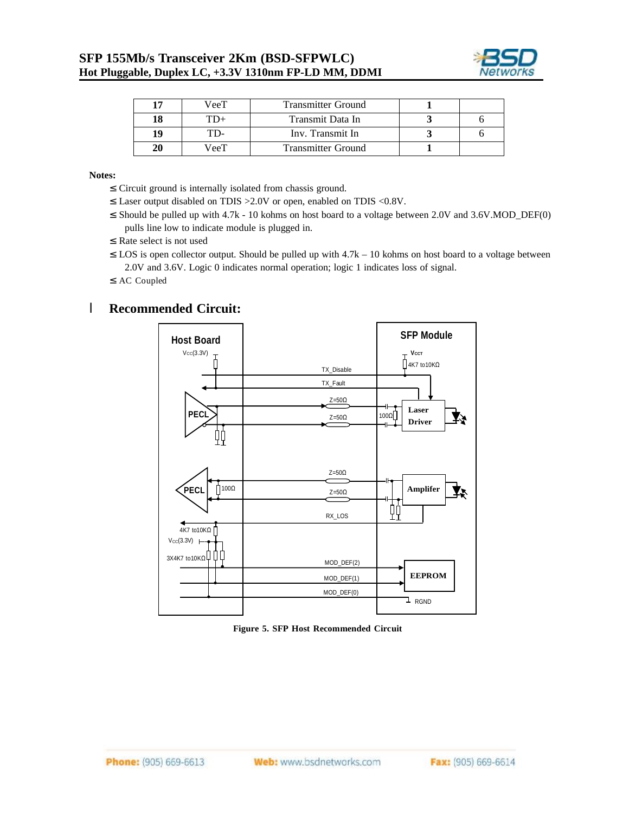

| 17 | VeeT | <b>Transmitter Ground</b> |  |
|----|------|---------------------------|--|
| 18 |      | Transmit Data In          |  |
| 19 | ЧD-  | Inv. Transmit In          |  |
| 20 | VeeT | Transmitter Ground        |  |

**Notes:** 

- ²Circuit ground is internally isolated from chassis ground.
- ²Laser output disabled on TDIS >2.0V or open, enabled on TDIS <0.8V.
- ²Should be pulled up with 4.7k 10 kohms on host board to a voltage between 2.0V and 3.6V.MOD\_DEF(0) pulls line low to indicate module is plugged in.
- <sup>2</sup> Rate select is not used
- $\approx$  LOS is open collector output. Should be pulled up with  $4.7k 10$  kohms on host board to a voltage between 2.0V and 3.6V. Logic 0 indicates normal operation; logic 1 indicates loss of signal.
- ²AC Coupled

#### l **Recommended Circuit:**



**Figure 5. SFP Host Recommended Circuit**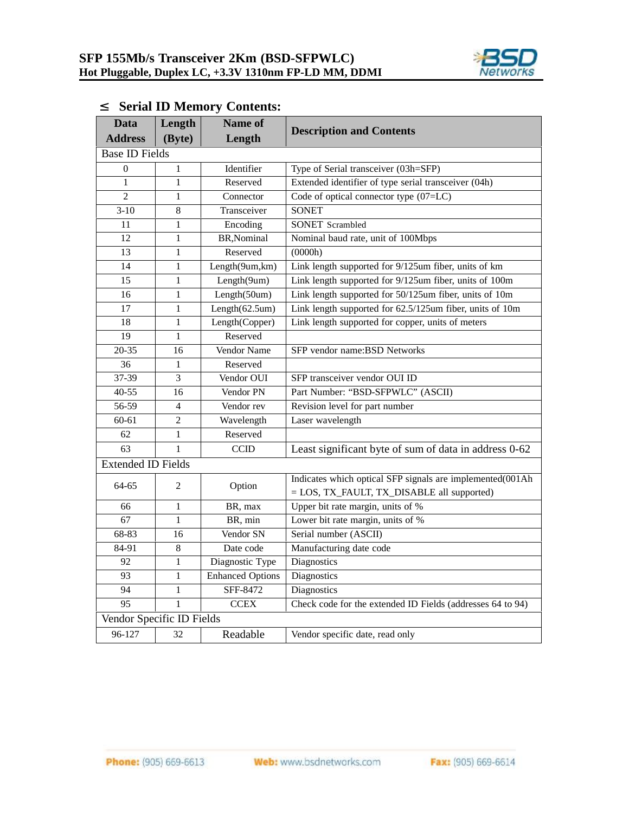

| <b>Data</b>               | Length         | <b>Name of</b>          | <b>Description and Contents</b>                                                                         |
|---------------------------|----------------|-------------------------|---------------------------------------------------------------------------------------------------------|
| <b>Address</b>            | (Byte)         | Length                  |                                                                                                         |
| <b>Base ID Fields</b>     |                |                         |                                                                                                         |
| $\Omega$                  | $\mathbf{1}$   | Identifier              | Type of Serial transceiver (03h=SFP)                                                                    |
| $\mathbf{1}$              | $\mathbf{1}$   | Reserved                | Extended identifier of type serial transceiver (04h)                                                    |
| $\overline{c}$            | $\mathbf{1}$   | Connector               | Code of optical connector type (07=LC)                                                                  |
| $3 - 10$                  | 8              | Transceiver             | <b>SONET</b>                                                                                            |
| 11                        | $\mathbf{1}$   | Encoding                | <b>SONET</b> Scrambled                                                                                  |
| 12                        | $\mathbf{1}$   | BR, Nominal             | Nominal baud rate, unit of 100Mbps                                                                      |
| 13                        | 1              | Reserved                | (0000h)                                                                                                 |
| 14                        | $\mathbf{1}$   | Length(9um,km)          | Link length supported for 9/125um fiber, units of km                                                    |
| 15                        | $\mathbf{1}$   | Length(9um)             | Link length supported for 9/125um fiber, units of 100m                                                  |
| 16                        | $\mathbf{1}$   | Length(50um)            | Link length supported for 50/125um fiber, units of 10m                                                  |
| 17                        | $\mathbf{1}$   | Length $(62.5$ um $)$   | Link length supported for 62.5/125um fiber, units of 10m                                                |
| 18                        | $\mathbf{1}$   | Length(Copper)          | Link length supported for copper, units of meters                                                       |
| 19                        | $\mathbf{1}$   | Reserved                |                                                                                                         |
| 20-35                     | 16             | Vendor Name             | SFP vendor name:BSD Networks                                                                            |
| 36                        | 1              | Reserved                |                                                                                                         |
| 37-39                     | 3              | Vendor OUI              | SFP transceiver vendor OUI ID                                                                           |
| $40 - 55$                 | 16             | Vendor PN               | Part Number: "BSD-SFPWLC" (ASCII)                                                                       |
| 56-59                     | $\overline{4}$ | Vendor rev              | Revision level for part number                                                                          |
| 60-61                     | 2              | Wavelength              | Laser wavelength                                                                                        |
| 62                        | $\mathbf{1}$   | Reserved                |                                                                                                         |
| 63                        | $\mathbf{1}$   | <b>CCID</b>             | Least significant byte of sum of data in address 0-62                                                   |
| <b>Extended ID Fields</b> |                |                         |                                                                                                         |
| 64-65                     | 2              | Option                  | Indicates which optical SFP signals are implemented(001Ah<br>= LOS, TX_FAULT, TX_DISABLE all supported) |
| 66                        | 1              | BR, max                 | Upper bit rate margin, units of %                                                                       |
| 67                        | 1              | BR, min                 | Lower bit rate margin, units of %                                                                       |
| 68-83                     | 16             | Vendor SN               | Serial number (ASCII)                                                                                   |
| 84-91                     | 8              | Date code               | Manufacturing date code                                                                                 |
| 92                        | $\mathbf{1}$   | Diagnostic Type         | Diagnostics                                                                                             |
| 93                        | $\mathbf{1}$   | <b>Enhanced Options</b> | Diagnostics                                                                                             |
| 94                        | $\mathbf{1}$   | SFF-8472                | Diagnostics                                                                                             |
| 95                        | $\mathbf{1}$   | <b>CCEX</b>             | Check code for the extended ID Fields (addresses 64 to 94)                                              |
| Vendor Specific ID Fields |                |                         |                                                                                                         |
| 96-127                    | 32             | Readable                | Vendor specific date, read only                                                                         |

# ² **Serial ID Memory Contents:**